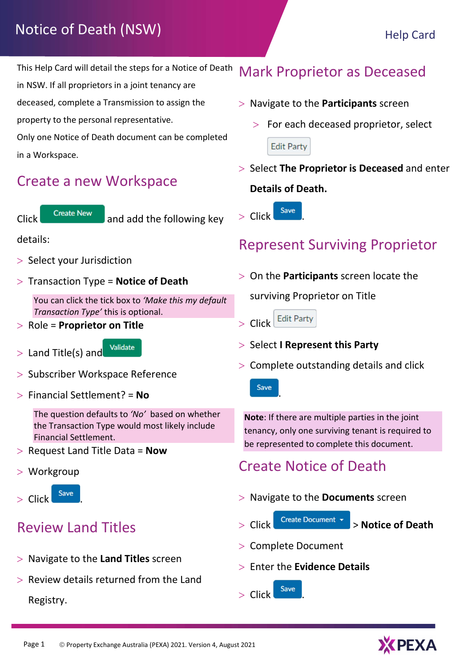# Notice of Death (NSW) Help Card

This Help Card will detail the steps for a Notice of Death

in NSW. If all proprietors in a joint tenancy are

deceased, complete a Transmission to assign the property to the personal representative.

Only one Notice of Death document can be completed in a Workspace.

#### Create a new Workspace

 $C$ lick  $C$  create New and add the following key

#### details:

- > Select your Jurisdiction
- $>$  Transaction Type = Notice of Death

You can click the tick box to 'Make this my default Transaction Type' this is optional.

- $>$  Role = Proprietor on Title
- > Land Title(s) and Validate



- > Subscriber Workspace Reference
- $>$  Financial Settlement? = No

The question defaults to 'No' based on whether the Transaction Type would most likely include Financial Settlement.

- $>$  Request Land Title Data = Now
- Workgroup



# Review Land Titles

- $>$  Navigate to the Land Titles screen
- $>$  Review details returned from the Land

Registry.

## Mark Proprietor as Deceased

- $>$  Navigate to the Participants screen
	- $>$  For each deceased proprietor, select **Edit Party** ļ.
- $>$  Select The Proprietor is Deceased and enter Details of Death.

 $>$  Click  $\frac{Save}{E}$ 

#### Represent Surviving Proprietor

 $>$  On the **Participants** screen locate the

surviving Proprietor on Title



.

- $>$  Select I Represent this Party
- $>$  Complete outstanding details and click



Note: If there are multiple parties in the joint tenancy, only one surviving tenant is required to be represented to complete this document.

## Create Notice of Death

- $>$  Navigate to the **Documents** screen
- > Click Create Document > Notice of Death
- > Complete Document
- $>$  Enter the Evidence Details